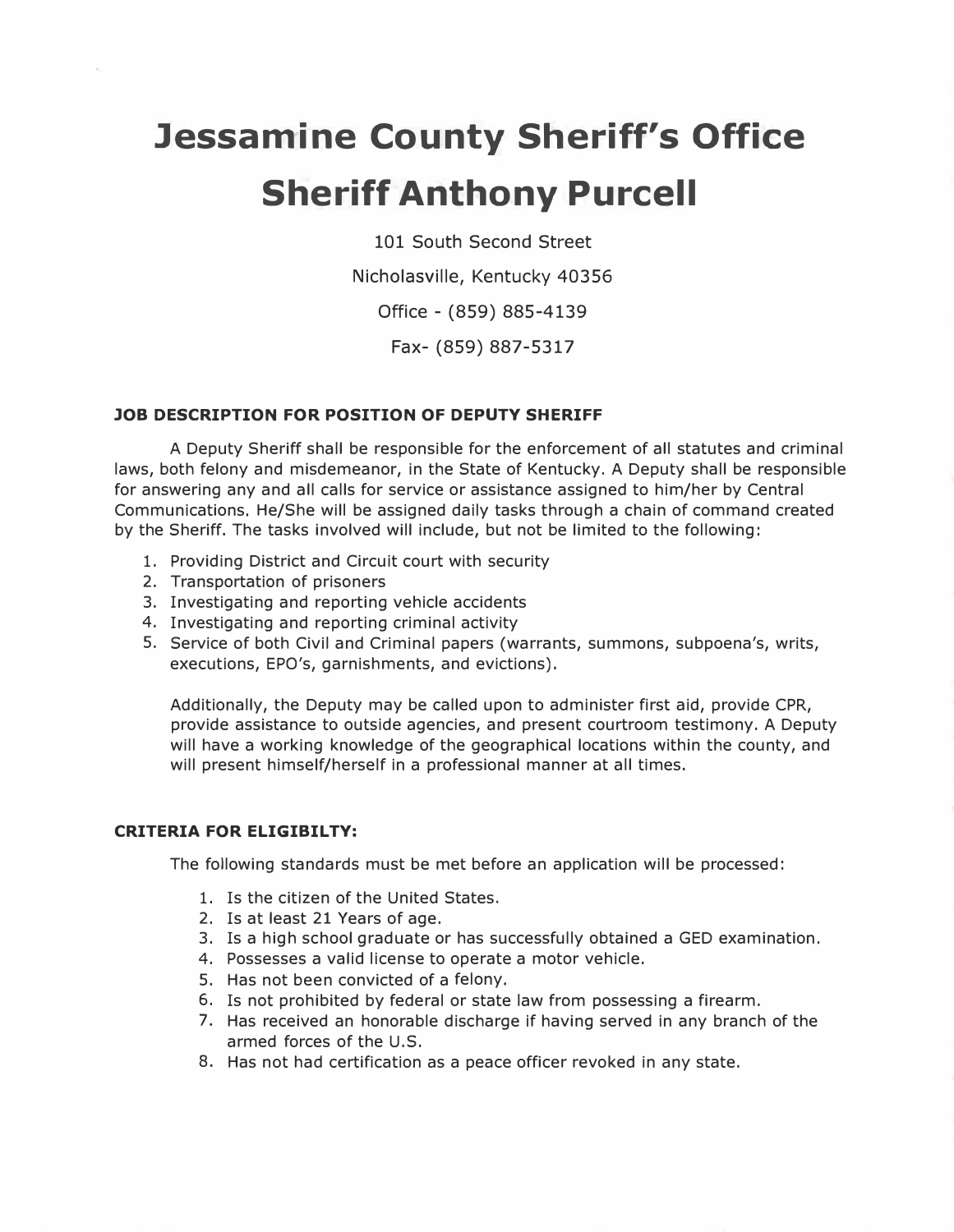# **Jessamine County Sheriff's Office Sheriff Anthony Purcell**

101 South Second Street

Nicholasville, Kentucky 40356

Office - (859) 885-4139

Fax- (859) 887-5317

# **JOB DESCRIPTION FOR POSITION OF DEPUTY SHERIFF**

A Deputy Sheriff shall be responsible for the enforcement of all statutes and criminal laws, both felony and misdemeanor, in the State of Kentucky. A Deputy shall be responsible for answering any and all calls for service or assistance assigned to him/her by Central Communications. He/She will be assigned daily tasks through a chain of command created by the Sheriff. The tasks involved will include, but not be limited to the following:

- 1. Providing District and Circuit court with security
- 2. Transportation of prisoners
- 3. Investigating and reporting vehicle accidents
- 4. Investigating and reporting criminal activity
- 5. Service of both Civil and Criminal papers (warrants, summons, subpoena's, writs, executions, EPO's, garnishments, and evictions).

Additionally, the Deputy may be called upon to administer first aid, provide CPR, provide assistance to outside agencies, and present courtroom testimony. A Deputy will have a working knowledge of the geographical locations within the county, and will present himself/herself in a professional manner at all times.

# **CRITERIA FOR ELIGIBILTY:**

The following standards must be met before an application will be processed:

- 1. Is the citizen of the United States.
- 2. Is at least 21 Years of age.
- 3. Is a high school graduate or has successfully obtained a GED examination.
- 4. Possesses a valid license to operate a motor vehicle.
- 5. Has not been convicted of a felony.
- 6. Is not prohibited by federal or state law from possessing a firearm.
- 7. Has received an honorable discharge if having served in any branch of the armed forces of the U.S.
- 8. Has not had certification as a peace officer revoked in any state.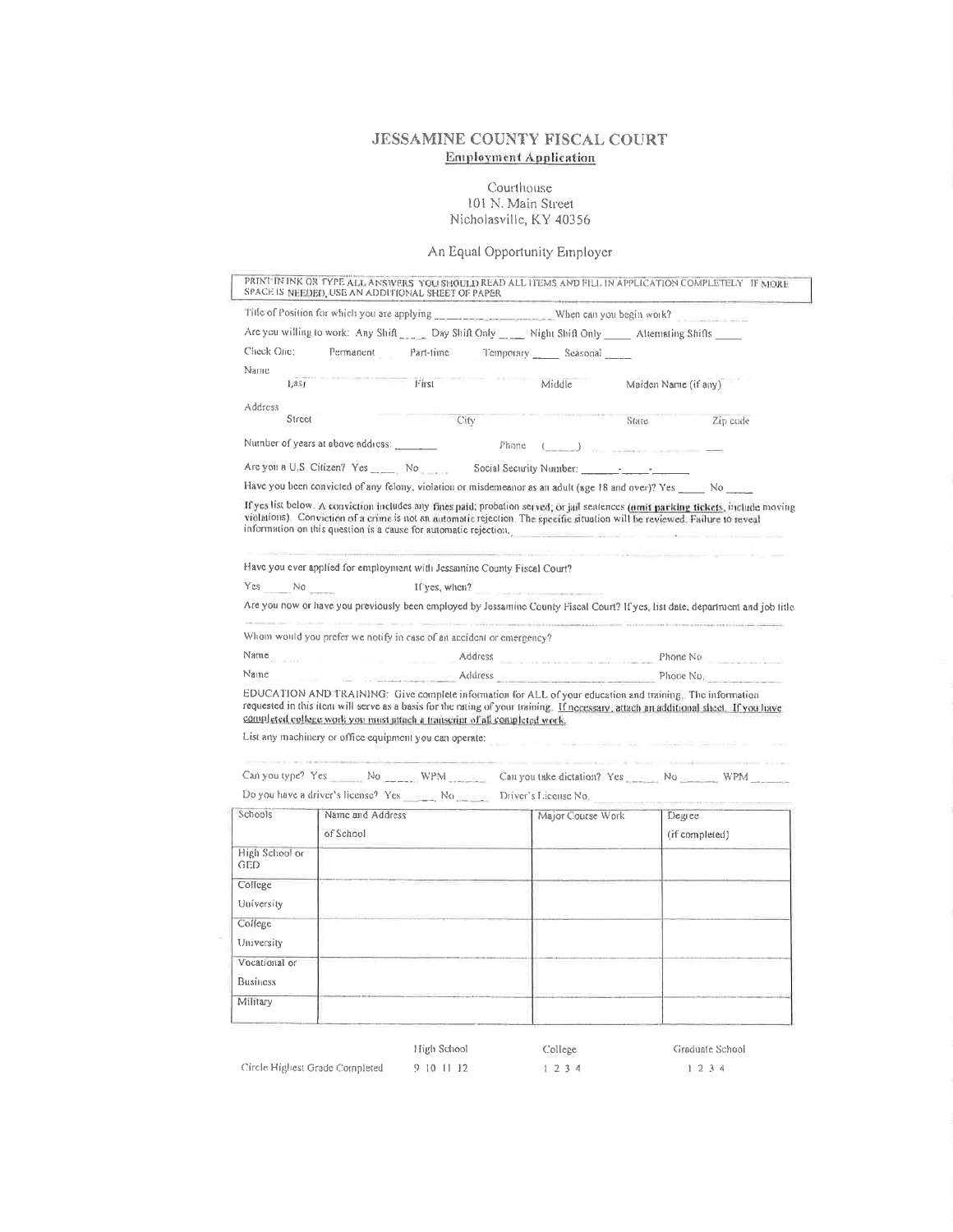# JESSAMINE COUNTY FISCAL COURT **Employment Application**

Courthouse 101 N. Main Street Nicholasville, KY 40356

#### An Equal Opportunity Employer

|                       | SPACE IS NEEDED, USE AN ADDITIONAL SHEET OF PAPER.                                            |               |                                                                                                             |       | PRINT IN INK OR TYPE ALL ANSWERS YOU SHOULD READ ALL ITEMS AND FILL IN APPLICATION COMPLETELY IF MORE                                                                                                                                                              |  |
|-----------------------|-----------------------------------------------------------------------------------------------|---------------|-------------------------------------------------------------------------------------------------------------|-------|--------------------------------------------------------------------------------------------------------------------------------------------------------------------------------------------------------------------------------------------------------------------|--|
|                       | Title of Position for which you are applying ________________________When can you begin work? |               |                                                                                                             |       |                                                                                                                                                                                                                                                                    |  |
|                       |                                                                                               |               | Are you willing to work: Any Shift ____ Day Shift Only ____ Night Shift Only ____ Alternating Shifts ___    |       |                                                                                                                                                                                                                                                                    |  |
| Check One:            |                                                                                               |               | Permanent Part-time Temporary Seasonal                                                                      |       |                                                                                                                                                                                                                                                                    |  |
| <b>Name</b>           |                                                                                               |               |                                                                                                             |       |                                                                                                                                                                                                                                                                    |  |
| Lasr                  |                                                                                               | First         | Middle                                                                                                      |       | Maiden Name (if any)                                                                                                                                                                                                                                               |  |
| Address               |                                                                                               |               |                                                                                                             |       |                                                                                                                                                                                                                                                                    |  |
| Street                |                                                                                               | City          |                                                                                                             | State | Zip code                                                                                                                                                                                                                                                           |  |
|                       | Number of years at above address:                                                             |               | Phone $(\_\_\_\_\_)$ $\_\_\_\_\_\_\_\_$                                                                     |       |                                                                                                                                                                                                                                                                    |  |
|                       | Are you a U.S. Citizen? Yes _______ No                                                        |               | Social Security Number: 2016                                                                                |       |                                                                                                                                                                                                                                                                    |  |
|                       |                                                                                               |               | Have you been convicted of any felony, violation or misdemeanor as an adult (age 18 and over)? Yes _____ No |       |                                                                                                                                                                                                                                                                    |  |
|                       |                                                                                               |               | information on this question is a cause for automatic rejection.                                            |       | If yes list below. A conviction includes any fines paid; probation served; or jail sentences (amit parking tickets, include moving<br>violations). Conviction of a crime is not an automatic rejection. The specific situation will be reviewed. Failure to reveal |  |
|                       |                                                                                               |               | Have you ever applied for employment with Jessanine County Fiscal Court?                                    |       |                                                                                                                                                                                                                                                                    |  |
| $Yes \tN0$            |                                                                                               | If yes, when? |                                                                                                             |       |                                                                                                                                                                                                                                                                    |  |
|                       |                                                                                               |               |                                                                                                             |       | Are you now or have you previously been employed by Jessamine County Fiscal Court? If yes, list date, department and job title                                                                                                                                     |  |
|                       | Whom would you prefer we notify in case of an accident or emergency?                          |               |                                                                                                             |       |                                                                                                                                                                                                                                                                    |  |
|                       |                                                                                               |               |                                                                                                             |       | Name <sub>rich</sub> and the actual Address and Address and the Phone No. 2008. Phone No. 2008.                                                                                                                                                                    |  |
| Name                  |                                                                                               |               |                                                                                                             |       | Address Phone No.                                                                                                                                                                                                                                                  |  |
|                       | completed college work you must attach a transcript of all completed work.                    |               | List any machinery or office equipment you can operate:                                                     |       | EDUCATION AND TRAINING: Give complete information for ALL of your education and training. The information<br>requested in this item will serve as a basis for the rating of your training. If necessary, attach an additional sheet. If you have                   |  |
|                       |                                                                                               |               |                                                                                                             |       | Can you type? Yes No ______ WPM ______ Can you take dictation? Yes No ______ WPM ______                                                                                                                                                                            |  |
|                       |                                                                                               |               | Do you have a driver's license? Yes $\equiv$ No $\equiv$ Driver's License No.                               |       |                                                                                                                                                                                                                                                                    |  |
| Schools               | Name and Address                                                                              |               | Major Course Work                                                                                           |       | Degree                                                                                                                                                                                                                                                             |  |
|                       | of School                                                                                     |               |                                                                                                             |       | (if completed)                                                                                                                                                                                                                                                     |  |
| High School or<br>GED |                                                                                               |               |                                                                                                             |       |                                                                                                                                                                                                                                                                    |  |
| College               |                                                                                               |               |                                                                                                             |       |                                                                                                                                                                                                                                                                    |  |
| University            |                                                                                               |               |                                                                                                             |       |                                                                                                                                                                                                                                                                    |  |
| College               |                                                                                               |               |                                                                                                             |       |                                                                                                                                                                                                                                                                    |  |
| University            |                                                                                               |               |                                                                                                             |       |                                                                                                                                                                                                                                                                    |  |
| Vocational or         |                                                                                               |               |                                                                                                             |       |                                                                                                                                                                                                                                                                    |  |
| <b>Business</b>       |                                                                                               |               |                                                                                                             |       |                                                                                                                                                                                                                                                                    |  |
| Military              |                                                                                               |               |                                                                                                             |       |                                                                                                                                                                                                                                                                    |  |
|                       |                                                                                               |               |                                                                                                             |       |                                                                                                                                                                                                                                                                    |  |
|                       |                                                                                               | High School   | College                                                                                                     |       | Graduate School                                                                                                                                                                                                                                                    |  |

Circle Highest Grade Completed

9 10 11 12

College  $1234$  Graduate School  $1234$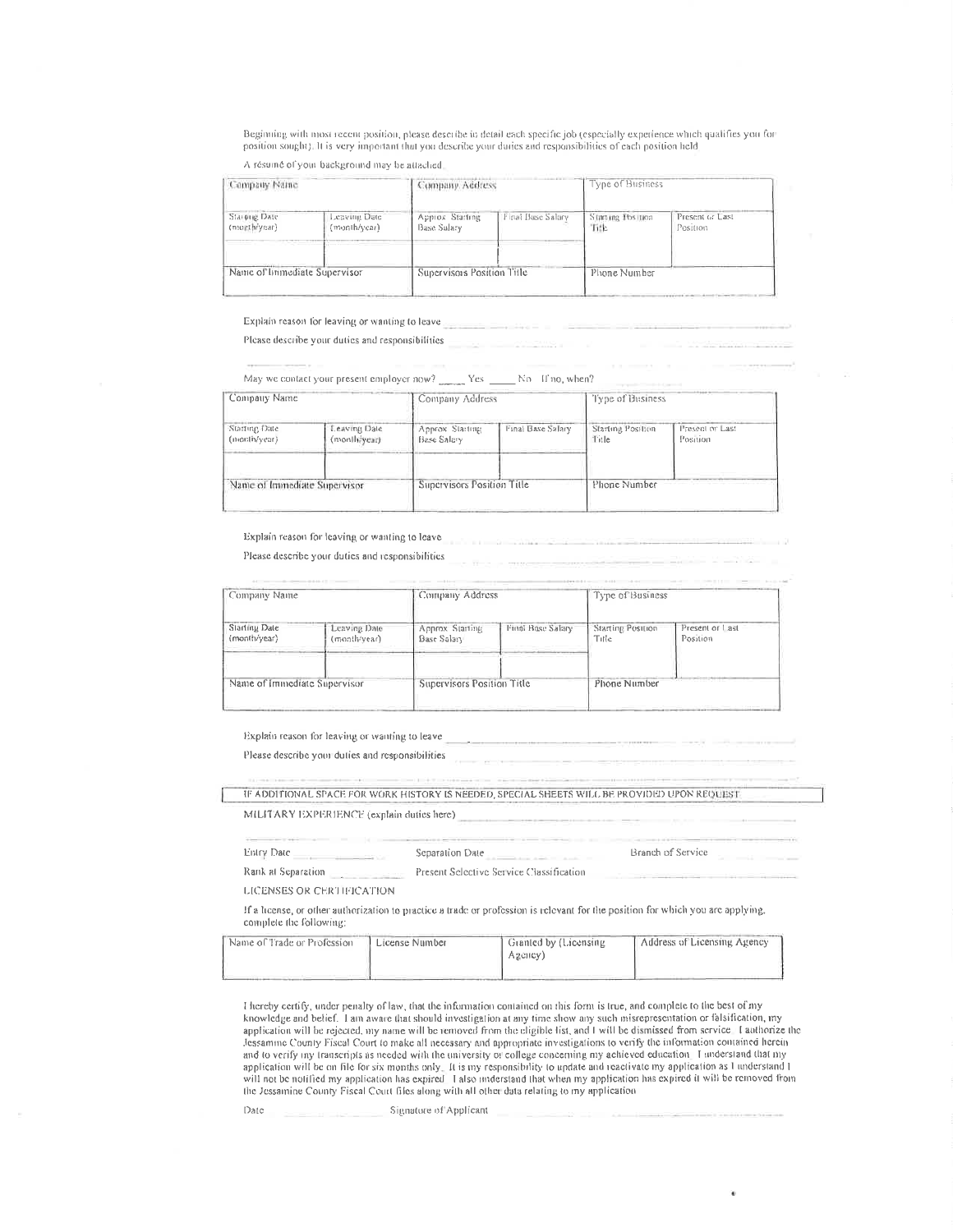Beginning with most recent position, please describe in detail each specific job (especially experience which qualifies you for position sought). It is very important that you describe your duries and responsibilities of each position held

A résumé of your background may be attached.

| Company Name                  |                              | Company Address                |                   | Type of Business           |                             |
|-------------------------------|------------------------------|--------------------------------|-------------------|----------------------------|-----------------------------|
| Starting Date<br>(monthryear) | Leaving Date<br>(month/year) | Approx Starting<br>Base Salary | Final Base Salary | Starting Position<br>Title | Present or Last<br>Position |
| Name of Immediate Supervisor  |                              | Supervisors Position Tifle     |                   | Phone Number               |                             |

Explain reason for leaving or wanting to leave

**Contract Contract** Please describe your duties and responsibilities

| Company Name                  |                               | Company Address                       |                   | Type of Business           |                             |
|-------------------------------|-------------------------------|---------------------------------------|-------------------|----------------------------|-----------------------------|
| Starting Date<br>(month/year) | Leaving Date<br>(month/year). | Approx Starting<br><b>Base Salary</b> | Final Base Salary | Starting Position<br>Title | Present or Last<br>Position |
| Name of Immediate Supervisor  |                               | Supervisors Position Title            |                   | Phone Number               |                             |

Explain reason for leaving or wanting to leave

Please describe your duties and responsibilities 

| Company Name                  |                              | Company Address               |                   | Type of Business                  |                             |
|-------------------------------|------------------------------|-------------------------------|-------------------|-----------------------------------|-----------------------------|
| Starting Date<br>(month/year) | Leaving Date<br>(month/year) | Approx Starting<br>Base Salan | Final Base Salary | <b>Starting Position</b><br>Title | Present or Last<br>Position |
| Name of Immediate Supervisor  |                              | Supervisors Position Title    |                   | Phone Number                      |                             |

Explain reason for leaving or wanting to leave

Please describe your duties and responsibilities

IF ADDITIONAL SPACE FOR WORK HISTORY IS NEEDED, SPECIAL SHEETS WILL BE PROVIDED UPON REQUEST MILITARY EXPERIENCE (explain duties here)

Entry Date Separation Date Branch of Service

Rank at Separation Present Selective Service Classification

LICENSES OR CERTIFICATION

If a license, or other authorization to practice a trade or profession is relevant for the position for which you are applying, complete the following:

| Name of Trade or Profession | License Number | Granted by (Licensing | Address of Licensing Agency |
|-----------------------------|----------------|-----------------------|-----------------------------|
|                             |                | Agency)               |                             |
|                             |                |                       |                             |

I hereby certify, under penalty of law, that the information contained on this form is true, and complete to the best of my knowledge and belief. I am aware that should investigation at any time show any such misrepresentation or falsification, my application will be rejected, my name will be removed from the eligible list, and I will be dismissed from service. I authorize the Jessamine County Fiscal Court to make all necessary and appropriate investigations to verify the information contained herein and to verify my transcripts as needed with the university of college concerning my achieved education. I understand that my application will be on file for six months only. It is my responsibility to update and reactivate my application as I understand I will not be notified my application has expired. I also understand that when my application the Jessamine County Fiscal Court files along with all other data relating to my application

Date Signature of Applicant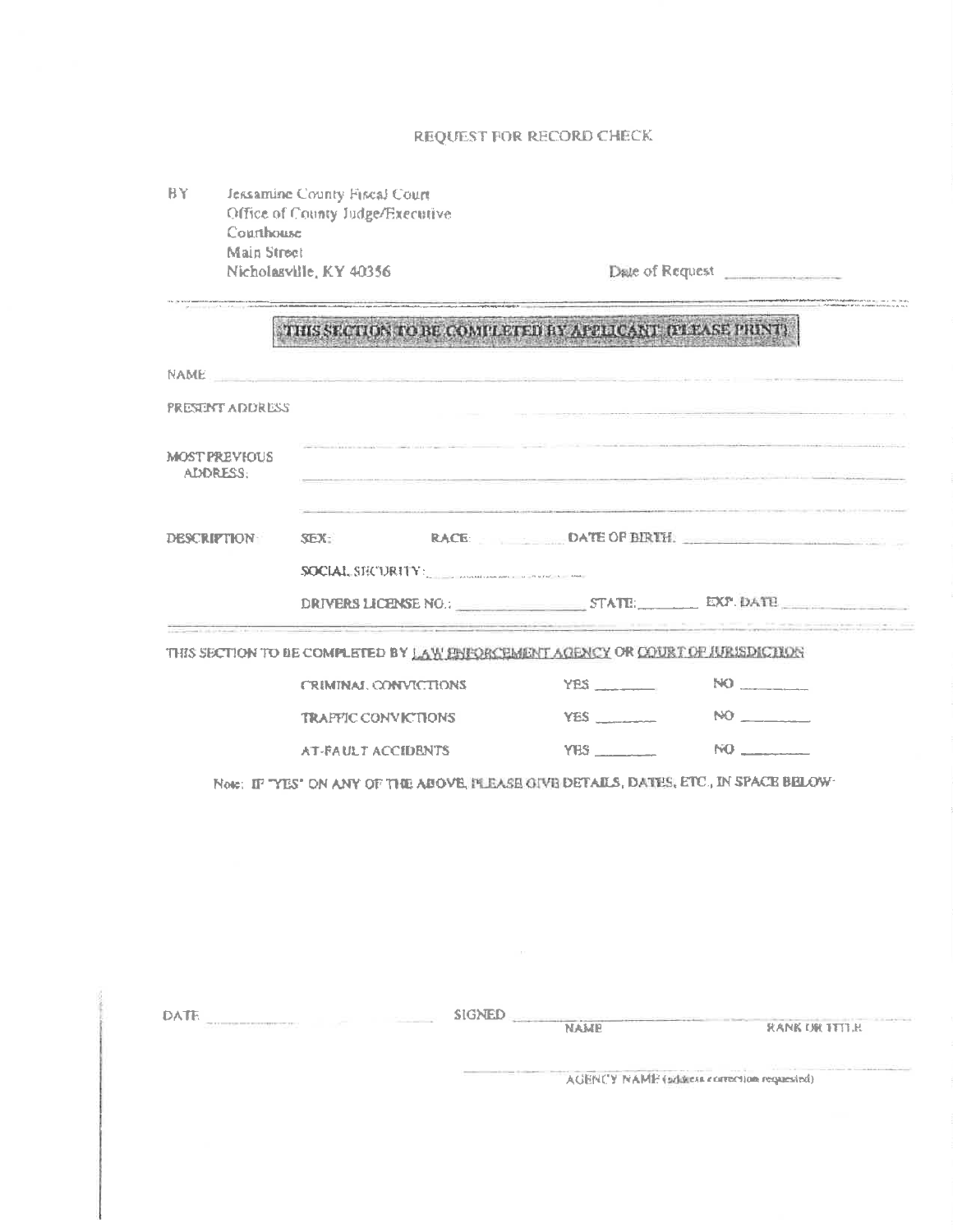#### REQUEST FOR RECORD CHECK

BY. Jessamine County Fiscal Court Office of County Judge/Executive Courthouse Main Street Nicholasville, KY 40356

.<br>1980 - Paul Maria Maria Maria Maria Maria Maria Maria Maria Maria Maria Maria Maria Maria Maria Maria Maria M

Date of Request

.<br>ביצור היה המוכנים ביצור המוכנים במוכנים במוכנים במוכנים במוכנים במוכנים במוכנים במוכנים במוכנים במוכנים במוכני<br>היא היה מוכנים במוכנים במוכנים היא קוד מקורים במוכנים במוכנים במוכנים במוכנים במוכנים במוכנים במוכנים במוכני

# THIS SECTION TO BE COMPLETED BY APPLICANT TELEASE PRINT).

| PRESENT ADDRESS                                                                       |                            |                                       |                                                   |  |  |  |  |
|---------------------------------------------------------------------------------------|----------------------------|---------------------------------------|---------------------------------------------------|--|--|--|--|
| <b>MOST PREVIOUS</b><br>ADDRESS:                                                      |                            |                                       |                                                   |  |  |  |  |
| <b>DESCRIPTION</b>                                                                    | <b>SEX:</b>                | RACE: DATE OF BIRTH.                  |                                                   |  |  |  |  |
|                                                                                       | SOCIAL SHCURFTY:           |                                       |                                                   |  |  |  |  |
|                                                                                       |                            | DRIVERS LICENSE NO.: STATE: EXT. DATE |                                                   |  |  |  |  |
| THIS SECTION TO BE COMPLETED BY LAW ENFORCEMENT AGENCY OR COURT OF HIRISDICTION       |                            |                                       |                                                   |  |  |  |  |
|                                                                                       | CRIMINAL CONVICTIONS       | YES                                   | $NO$ $\qquad$                                     |  |  |  |  |
|                                                                                       | <b>TRAPPIC CONVICTIONS</b> | YES <b>All Services</b>               | NO COMPANY                                        |  |  |  |  |
|                                                                                       | <b>AT-BALL T ACCIDENTS</b> | YES A COMMON                          | NO <sub>2</sub> and the state of the state of the |  |  |  |  |
| NOIC: IF "YES" ON ANY OF THE ABOVE, FLEASE GIVE DETAILS, DATES, ETC., IN SPACE BELOW- |                            |                                       |                                                   |  |  |  |  |

DATE **DATE** 

SIGNED

**NAME** 

**RANK UR TTTLH** 

AGENCY NAME (addition correction requested)